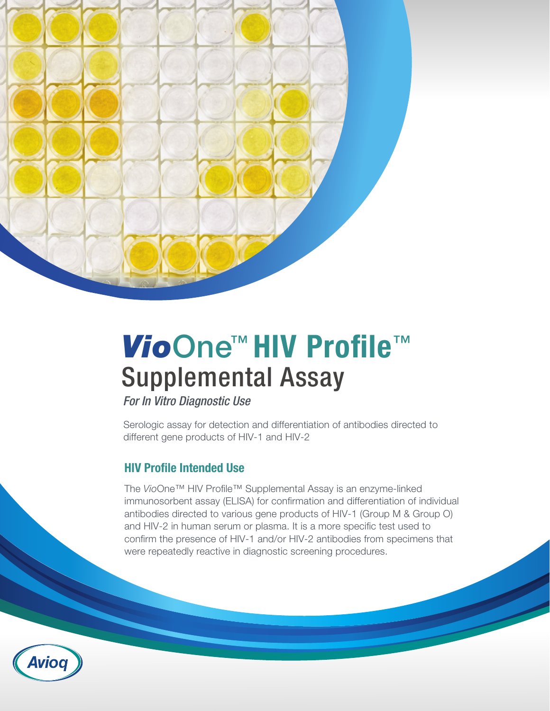

# *Vio*One™ HIV Profile™ Supplemental Assay

*For In Vitro Diagnostic Use*

Serologic assay for detection and differentiation of antibodies directed to different gene products of HIV-1 and HIV-2

#### HIV Profile Intended Use

The *Vio*One™ HIV Profile™ Supplemental Assay is an enzyme-linked immunosorbent assay (ELISA) for confirmation and differentiation of individual antibodies directed to various gene products of HIV-1 (Group M & Group O) and HIV-2 in human serum or plasma. It is a more specific test used to confirm the presence of HIV-1 and/or HIV-2 antibodies from specimens that were repeatedly reactive in diagnostic screening procedures.